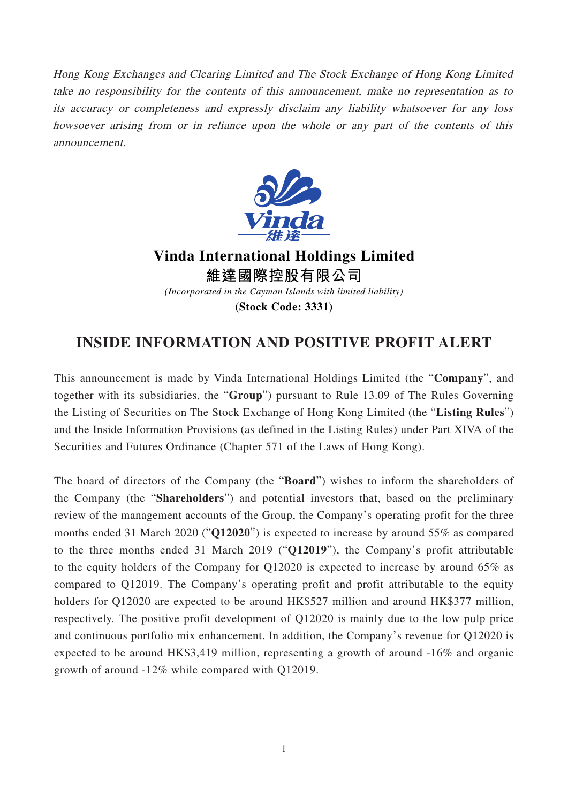Hong Kong Exchanges and Clearing Limited and The Stock Exchange of Hong Kong Limited take no responsibility for the contents of this announcement, make no representation as to its accuracy or completeness and expressly disclaim any liability whatsoever for any loss howsoever arising from or in reliance upon the whole or any part of the contents of this announcement.



**Vinda International Holdings Limited 維達國際控股有限公司** *(Incorporated in the Cayman Islands with limited liability)* **(Stock Code: 3331)**

## **INSIDE INFORMATION AND POSITIVE PROFIT ALERT**

This announcement is made by Vinda International Holdings Limited (the "**Company**", and together with its subsidiaries, the "**Group**") pursuant to Rule 13.09 of The Rules Governing the Listing of Securities on The Stock Exchange of Hong Kong Limited (the "**Listing Rules**") and the Inside Information Provisions (as defined in the Listing Rules) under Part XIVA of the Securities and Futures Ordinance (Chapter 571 of the Laws of Hong Kong).

The board of directors of the Company (the "**Board**") wishes to inform the shareholders of the Company (the "**Shareholders**") and potential investors that, based on the preliminary review of the management accounts of the Group, the Company's operating profit for the three months ended 31 March 2020 ("**Q12020**") is expected to increase by around 55% as compared to the three months ended 31 March 2019 ("**Q12019**"), the Company's profit attributable to the equity holders of the Company for Q12020 is expected to increase by around 65% as compared to Q12019. The Company's operating profit and profit attributable to the equity holders for Q12020 are expected to be around HK\$527 million and around HK\$377 million, respectively. The positive profit development of Q12020 is mainly due to the low pulp price and continuous portfolio mix enhancement. In addition, the Company's revenue for Q12020 is expected to be around HK\$3,419 million, representing a growth of around -16% and organic growth of around -12% while compared with Q12019.